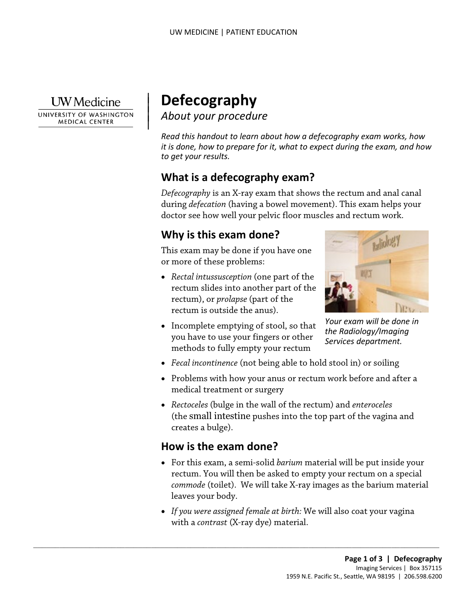**I** W Medicine

UNIVERSITY OF WASHINGTON **MEDICAL CENTER** 

# | **Defecography**  *About your procedure* <sup>|</sup>

 $\parallel$ 

*Read this handout to learn about how a defecography exam works, how it is done, how to prepare for it, what to expect during the exam, and how to get your results.* 

## **What is a defecography exam?**

 during *defecation* (having a bowel movement). This exam helps your *Defecography* is an X-ray exam that shows the rectum and anal canal doctor see how well your pelvic floor muscles and rectum work.

## **Why is this exam done?**

This exam may be done if you have one or more of these problems:

- *Rectal intussusception* (one part of the rectum slides into another part of the rectum), or *prolapse* (part of the rectum is outside the anus).
- 
- methods to fully empty your rectum • Incomplete emptying of stool, so that you have to use your fingers or other



- *Fecal incontinence* (not being able to hold stool in) or soiling
- Problems with how your anus or rectum work before and after a medical treatment or surgery
- *Rectoceles* (bulge in the wall of the rectum) and *enteroceles*  (the [small intestine](http://en.wikipedia.org/wiki/Small_intestines) pushes into the top part of the vagina and creates a bulge).

## **How is the exam done?**

 $\_$  ,  $\_$  ,  $\_$  ,  $\_$  ,  $\_$  ,  $\_$  ,  $\_$  ,  $\_$  ,  $\_$  ,  $\_$  ,  $\_$  ,  $\_$  ,  $\_$  ,  $\_$  ,  $\_$  ,  $\_$  ,  $\_$  ,  $\_$  ,  $\_$  ,  $\_$  ,  $\_$  ,  $\_$  ,  $\_$  ,  $\_$  ,  $\_$  ,  $\_$  ,  $\_$  ,  $\_$  ,  $\_$  ,  $\_$  ,  $\_$  ,  $\_$  ,  $\_$  ,  $\_$  ,  $\_$  ,  $\_$  ,  $\_$  ,

- *commode* (toilet). We will take X-ray images as the barium material • For this exam, a semi-solid *barium* material will be put inside your rectum. You will then be asked to empty your rectum on a special leaves your body.
- • *If you were assigned female at birth:* We will also coat your vagina with a *contrast* (X-ray dye) material.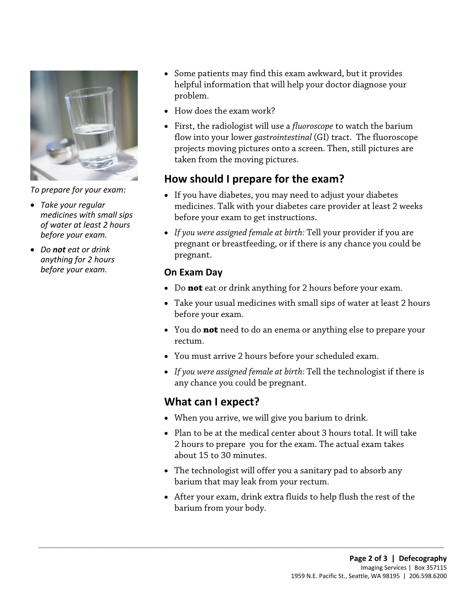

*To prepare for your exam:* 

- *Take your regular medicines with small sips of water at least 2 hours before your exam.*
- *Do not eat or drink anything for 2 hours before your exam.*
- Some patients may find this exam awkward, but it provides helpful information that will help your doctor diagnose your problem.
- How does the exam work?
- First, the [radiologist](javascript:glossAry() will use a *fluoroscope* to watch the barium flow into your lower *gastrointestinal* (GI) tract. The fluoroscope projects moving pictures onto a screen. Then, still pictures are taken from the moving pictures.

## **How should I prepare for the exam?**

- before your exam to get instructions. • If you have diabetes, you may need to adjust your diabetes medicines. Talk with your diabetes care provider at least 2 weeks
- *If you were assigned female at birth:* Tell your provider if you are pregnant or breastfeeding, or if there is any chance you could be pregnant.

#### **On Exam Day**

- Do **not** eat or drink anything for 2 hours before your exam.
- • Take your usual medicines with small sips of water at least 2 hours before your exam.
- You do **not** need to do an enema or anything else to prepare your rectum.
- You must arrive 2 hours before your scheduled exam.
- *If you were assigned female at birth:* Tell the technologist if there is any chance you could be pregnant.

## **What can I expect?**

• When you arrive, we will give you barium to drink.

 $\_$  ,  $\_$  ,  $\_$  ,  $\_$  ,  $\_$  ,  $\_$  ,  $\_$  ,  $\_$  ,  $\_$  ,  $\_$  ,  $\_$  ,  $\_$  ,  $\_$  ,  $\_$  ,  $\_$  ,  $\_$  ,  $\_$  ,  $\_$  ,  $\_$  ,  $\_$  ,  $\_$  ,  $\_$  ,  $\_$  ,  $\_$  ,  $\_$  ,  $\_$  ,  $\_$  ,  $\_$  ,  $\_$  ,  $\_$  ,  $\_$  ,  $\_$  ,  $\_$  ,  $\_$  ,  $\_$  ,  $\_$  ,  $\_$  ,

- 2 hours to prepare you for the exam. The actual exam takes about 15 to 30 minutes. • Plan to be at the medical center about 3 hours total. It will take
- barium that may leak from your rectum. • The technologist will offer you a sanitary pad to absorb any
- After your exam, drink extra fluids to help flush the rest of the barium from your body.